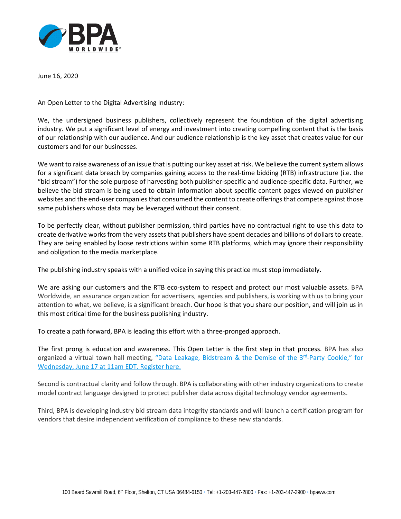

June 16, 2020

An Open Letter to the Digital Advertising Industry:

We, the undersigned business publishers, collectively represent the foundation of the digital advertising industry. We put a significant level of energy and investment into creating compelling content that is the basis of our relationship with our audience. And our audience relationship is the key asset that creates value for our customers and for our businesses.

We want to raise awareness of an issue that is putting our key asset at risk. We believe the current system allows for a significant data breach by companies gaining access to the real-time bidding (RTB) infrastructure (i.e. the "bid stream") for the sole purpose of harvesting both publisher-specific and audience-specific data. Further, we believe the bid stream is being used to obtain information about specific content pages viewed on publisher websites and the end-user companies that consumed the content to create offerings that compete against those same publishers whose data may be leveraged without their consent.

To be perfectly clear, without publisher permission, third parties have no contractual right to use this data to create derivative works from the very assets that publishers have spent decades and billions of dollars to create. They are being enabled by loose restrictions within some RTB platforms, which may ignore their responsibility and obligation to the media marketplace.

The publishing industry speaks with a unified voice in saying this practice must stop immediately.

We are asking our customers and the RTB eco-system to respect and protect our most valuable assets. BPA Worldwide, an assurance organization for advertisers, agencies and publishers, is working with us to bring your attention to what, we believe, is a significant breach. Our hope is that you share our position, and will join us in this most critical time for the business publishing industry.

To create a path forward, BPA is leading this effort with a three-pronged approach.

The first prong is education and awareness. This Open Letter is the first step in that process. BPA has also organized a virtual town hall meeting, "Data Leakage, Bidstream & the Demise of the 3<sup>rd</sup>-Party Cookie," for [Wednesday, June 17 at 11am EDT. Register here.](https://attendee.gotowebinar.com/register/5846737051084976908)

Second is contractual clarity and follow through. BPA is collaborating with other industry organizations to create model contract language designed to protect publisher data across digital technology vendor agreements.

Third, BPA is developing industry bid stream data integrity standards and will launch a certification program for vendors that desire independent verification of compliance to these new standards.